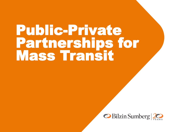# Public-Private Partnerships for Mass Transit

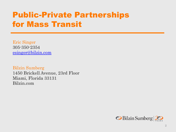# Public-Private Partnerships for Mass Transit

Eric Singer 305-350-2354 [esinger@bilzin.com](mailto:esinger@bilzin.com)

Bilzin Sumberg 1450 Brickell Avenue, 23rd Floor Miami, Florida 33131 Bilzin.com

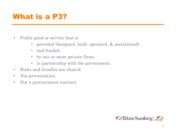#### What is a P3?

- Public good or service that is
	- provided (designed, built, operated, & maintained)
	- and funded
	- by one or more private firms
	- in partnership with the government.
- Risks and benefits are shared.
- Not privatization.
- Not a procurement contract.

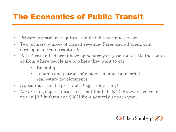### The Economics of Public Transit

- Private investment requires a predictable revenue stream.
- Two primary sources of transit revenue: Fares and adjacent/joint development (value capture).
- Both fares and adjacent development rely on good routes: Do the routes go from where people are to where they want to go?'
	- Ridership
	- Tenants and patrons of residential and commercial real estate developments.
- A good route can be profitable. (e.g., Hong Kong).
- Advertising opportunities exist, but limited. NYC Subway brings in nearly \$3B in fares and \$60M from advertising each year.

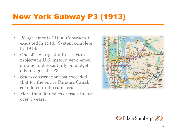# New York Subway P3 (1913)

- P3 agreements ("Dual Contracts") executed in 1913. System complete by 1918.
- One of the largest infrastructure projects in U.S. history, yet opened on time and essentially on budget – advantages of a P3.
- Scale: construction cost exceeded that for the entire Panama Canal, completed in the same era.
- More than 300 miles of track in just over 3 years.



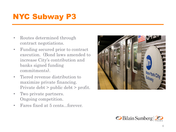# NYC Subway P3

- Routes determined through contract negotiations.
- Funding secured prior to contract execution. (Bond laws amended to increase City's contribution and banks signed funding commitments).
- Tiered revenue distribution to maximize private financing. Private debt > public debt > profit.
- Two private partners. Ongoing competition.
- Fares fixed at 5 cents...forever.



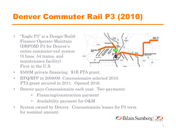#### Denver Commuter Rail P3 (2010)

• "Eagle P3" is a Design-Build-Finance-Operate-Maintain (DBFOM) P3 for Denver's entire commuter-rail system (3 lines, 54 trains, and maintenance facility). First in the U.S.



- \$500M private financing. \$1B FTA grant.
- RFQ/RFP in 2008/09. Concessionaire selected 2010. FTA grant secured in 2011. Opened 2016.
- Denver pays Concessionaire each year. Two payments:
	- Financing/construction payment
	- Availability payment for O&M
- System owned by Denver. Concessionaire leases for P3 term for nominal amount.